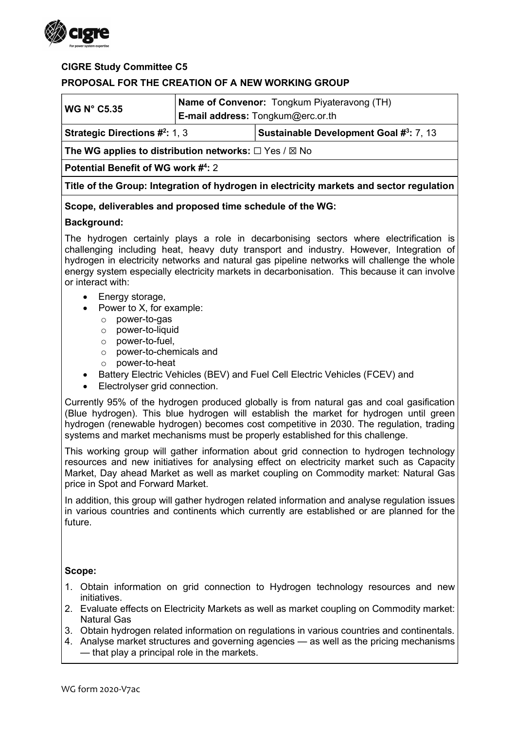

## CIGRE Study Committee C5

## PROPOSAL FOR THE CREATION OF A NEW WORKING GROUP

| <b>WG N° C5.35</b>                                  |  | <b>Name of Convenor:</b> Tongkum Piyateravong (TH)<br><b>E-mail address:</b> $T$ ongkum@erc.or.th |
|-----------------------------------------------------|--|---------------------------------------------------------------------------------------------------|
| <b>Strategic Directions <math>\#^2</math>:</b> 1, 3 |  | Sustainable Development Goal #3: 7, 13                                                            |

The WG applies to distribution networks:  $\Box$  Yes /  $\boxtimes$  No

Potential Benefit of WG work #4: 2

Title of the Group: Integration of hydrogen in electricity markets and sector regulation

### Scope, deliverables and proposed time schedule of the WG:

### Background:

The hydrogen certainly plays a role in decarbonising sectors where electrification is challenging including heat, heavy duty transport and industry. However, Integration of hydrogen in electricity networks and natural gas pipeline networks will challenge the whole energy system especially electricity markets in decarbonisation. This because it can involve or interact with:

- Energy storage,
- Power to X, for example:
	- o power-to-gas
	- o power-to-liquid
	- o power-to-fuel,
	- o power-to-chemicals and
	- o power-to-heat
- Battery Electric Vehicles (BEV) and Fuel Cell Electric Vehicles (FCEV) and
- Electrolyser grid connection.

Currently 95% of the hydrogen produced globally is from natural gas and coal gasification (Blue hydrogen). This blue hydrogen will establish the market for hydrogen until green hydrogen (renewable hydrogen) becomes cost competitive in 2030. The regulation, trading systems and market mechanisms must be properly established for this challenge.

This working group will gather information about grid connection to hydrogen technology resources and new initiatives for analysing effect on electricity market such as Capacity Market, Day ahead Market as well as market coupling on Commodity market: Natural Gas price in Spot and Forward Market.

In addition, this group will gather hydrogen related information and analyse regulation issues in various countries and continents which currently are established or are planned for the future.

#### Scope:

- 1. Obtain information on grid connection to Hydrogen technology resources and new initiatives.
- 2. Evaluate effects on Electricity Markets as well as market coupling on Commodity market: Natural Gas
- 3. Obtain hydrogen related information on regulations in various countries and continentals.
- 4. Analyse market structures and governing agencies as well as the pricing mechanisms — that play a principal role in the markets.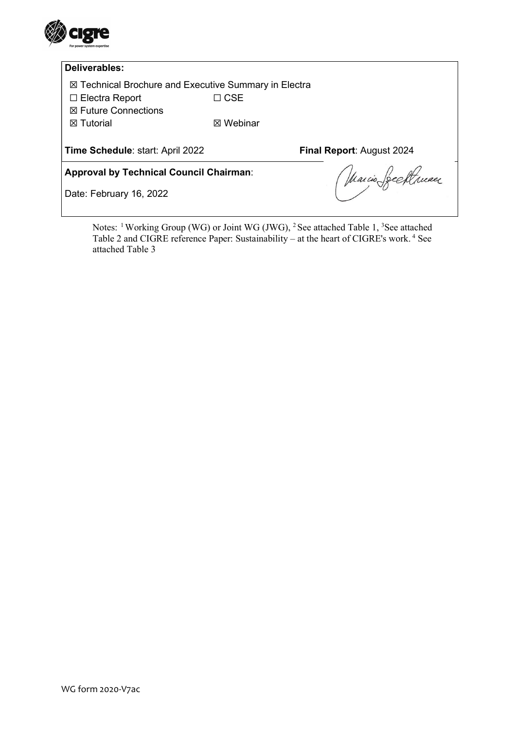

## Deliverables:

☒ Technical Brochure and Executive Summary in Electra

☐ Electra Report ☐ CSE

☒ Future Connections

**⊠** Tutorial *■* Webinar

Time Schedule: start: April 2022 Final Report: August 2024

Approval by Technical Council Chairman:

Date: February 16, 2022

Marcio Seeftruan

Notes: <sup>1</sup>Working Group (WG) or Joint WG (JWG), <sup>2</sup> See attached Table 1, <sup>3</sup>See attached Table 2 and CIGRE reference Paper: Sustainability – at the heart of CIGRE's work.<sup>4</sup> See attached Table 3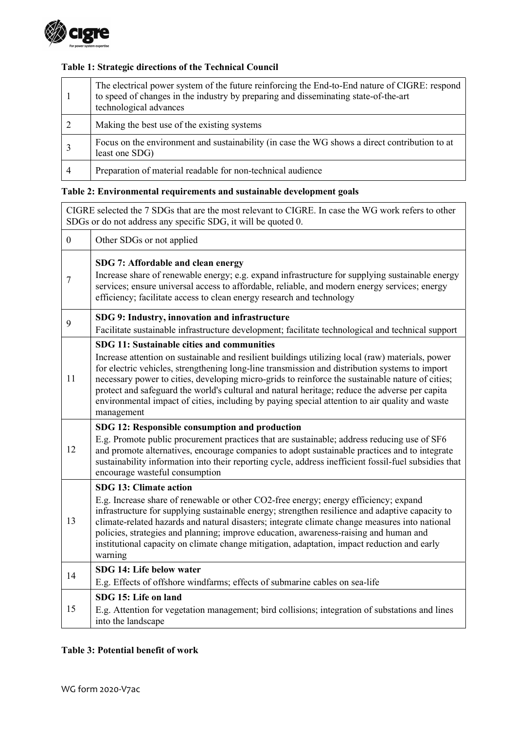

# Table 1: Strategic directions of the Technical Council

|   | The electrical power system of the future reinforcing the End-to-End nature of CIGRE: respond<br>to speed of changes in the industry by preparing and disseminating state-of-the-art<br>technological advances |
|---|----------------------------------------------------------------------------------------------------------------------------------------------------------------------------------------------------------------|
|   | Making the best use of the existing systems                                                                                                                                                                    |
|   | Focus on the environment and sustainability (in case the WG shows a direct contribution to at<br>least one SDG)                                                                                                |
| 4 | Preparation of material readable for non-technical audience                                                                                                                                                    |

# Table 2: Environmental requirements and sustainable development goals

| CIGRE selected the 7 SDGs that are the most relevant to CIGRE. In case the WG work refers to other<br>SDGs or do not address any specific SDG, it will be quoted 0. |                                                                                                                                                                                                                                                                                                                                                                                                                                                                                                                                                                        |  |
|---------------------------------------------------------------------------------------------------------------------------------------------------------------------|------------------------------------------------------------------------------------------------------------------------------------------------------------------------------------------------------------------------------------------------------------------------------------------------------------------------------------------------------------------------------------------------------------------------------------------------------------------------------------------------------------------------------------------------------------------------|--|
| $\mathbf{0}$                                                                                                                                                        | Other SDGs or not applied                                                                                                                                                                                                                                                                                                                                                                                                                                                                                                                                              |  |
| $\tau$                                                                                                                                                              | SDG 7: Affordable and clean energy<br>Increase share of renewable energy; e.g. expand infrastructure for supplying sustainable energy<br>services; ensure universal access to affordable, reliable, and modern energy services; energy<br>efficiency; facilitate access to clean energy research and technology                                                                                                                                                                                                                                                        |  |
| 9                                                                                                                                                                   | SDG 9: Industry, innovation and infrastructure<br>Facilitate sustainable infrastructure development; facilitate technological and technical support                                                                                                                                                                                                                                                                                                                                                                                                                    |  |
| 11                                                                                                                                                                  | SDG 11: Sustainable cities and communities<br>Increase attention on sustainable and resilient buildings utilizing local (raw) materials, power<br>for electric vehicles, strengthening long-line transmission and distribution systems to import<br>necessary power to cities, developing micro-grids to reinforce the sustainable nature of cities;<br>protect and safeguard the world's cultural and natural heritage; reduce the adverse per capita<br>environmental impact of cities, including by paying special attention to air quality and waste<br>management |  |
| 12                                                                                                                                                                  | SDG 12: Responsible consumption and production<br>E.g. Promote public procurement practices that are sustainable; address reducing use of SF6<br>and promote alternatives, encourage companies to adopt sustainable practices and to integrate<br>sustainability information into their reporting cycle, address inefficient fossil-fuel subsidies that<br>encourage wasteful consumption                                                                                                                                                                              |  |
| 13                                                                                                                                                                  | <b>SDG 13: Climate action</b><br>E.g. Increase share of renewable or other CO2-free energy; energy efficiency; expand<br>infrastructure for supplying sustainable energy; strengthen resilience and adaptive capacity to<br>climate-related hazards and natural disasters; integrate climate change measures into national<br>policies, strategies and planning; improve education, awareness-raising and human and<br>institutional capacity on climate change mitigation, adaptation, impact reduction and early<br>warning                                          |  |
| 14                                                                                                                                                                  | SDG 14: Life below water<br>E.g. Effects of offshore windfarms; effects of submarine cables on sea-life                                                                                                                                                                                                                                                                                                                                                                                                                                                                |  |
| 15                                                                                                                                                                  | SDG 15: Life on land<br>E.g. Attention for vegetation management; bird collisions; integration of substations and lines<br>into the landscape                                                                                                                                                                                                                                                                                                                                                                                                                          |  |

## Table 3: Potential benefit of work